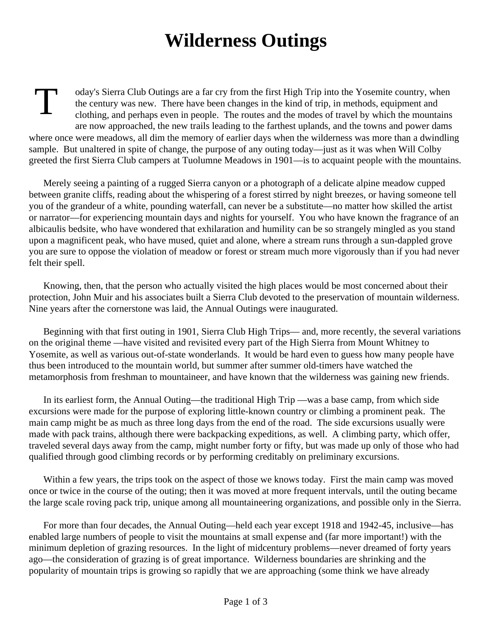## **Wilderness Outings**

**T** oday's Sierra Club Outings are a far cry from the first High Trip into the Yosemite country, when the century was new. There have been changes in the kind of trip, in methods, equipment and clothing, and perhaps even in people. The routes and the modes of travel by which the mountains are now approached, the new trails leading to the farthest uplands, and the towns and power dams where once were meadows, all dim the memory of earlier days when the wilderness was more than a dwindling sample. But unaltered in spite of change, the purpose of any outing today—just as it was when Will Colby greeted the first Sierra Club campers at Tuolumne Meadows in 1901—is to acquaint people with the mountains.

Merely seeing a painting of a rugged Sierra canyon or a photograph of a delicate alpine meadow cupped between granite cliffs, reading about the whispering of a forest stirred by night breezes, or having someone tell you of the grandeur of a white, pounding waterfall, can never be a substitute—no matter how skilled the artist or narrator—for experiencing mountain days and nights for yourself. You who have known the fragrance of an albicaulis bedsite, who have wondered that exhilaration and humility can be so strangely mingled as you stand upon a magnificent peak, who have mused, quiet and alone, where a stream runs through a sun-dappled grove you are sure to oppose the violation of meadow or forest or stream much more vigorously than if you had never felt their spell.

Knowing, then, that the person who actually visited the high places would be most concerned about their protection, John Muir and his associates built a Sierra Club devoted to the preservation of mountain wilderness. Nine years after the cornerstone was laid, the Annual Outings were inaugurated.

Beginning with that first outing in 1901, Sierra Club High Trips— and, more recently, the several variations on the original theme —have visited and revisited every part of the High Sierra from Mount Whitney to Yosemite, as well as various out-of-state wonderlands. It would be hard even to guess how many people have thus been introduced to the mountain world, but summer after summer old-timers have watched the metamorphosis from freshman to mountaineer, and have known that the wilderness was gaining new friends.

In its earliest form, the Annual Outing—the traditional High Trip —was a base camp, from which side excursions were made for the purpose of exploring little-known country or climbing a prominent peak. The main camp might be as much as three long days from the end of the road. The side excursions usually were made with pack trains, although there were backpacking expeditions, as well. A climbing party, which offer, traveled several days away from the camp, might number forty or fifty, but was made up only of those who had qualified through good climbing records or by performing creditably on preliminary excursions.

Within a few years, the trips took on the aspect of those we knows today. First the main camp was moved once or twice in the course of the outing; then it was moved at more frequent intervals, until the outing became the large scale roving pack trip, unique among all mountaineering organizations, and possible only in the Sierra.

For more than four decades, the Annual Outing—held each year except 1918 and 1942-45, inclusive—has enabled large numbers of people to visit the mountains at small expense and (far more important!) with the minimum depletion of grazing resources. In the light of midcentury problems—never dreamed of forty years ago—the consideration of grazing is of great importance. Wilderness boundaries are shrinking and the popularity of mountain trips is growing so rapidly that we are approaching (some think we have already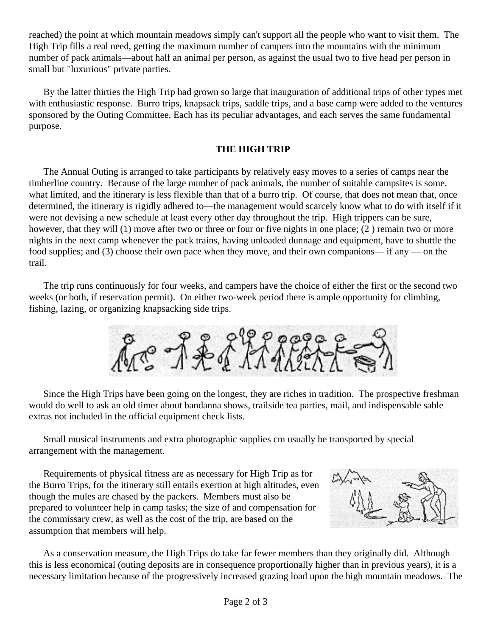reached) the point at which mountain meadows simply can't support all the people who want to visit them. The High Trip fills a real need, getting the maximum number of campers into the mountains with the minimum number of pack animals—about half an animal per person, as against the usual two to five head per person in small but "luxurious" private parties.

By the latter thirties the High Trip had grown so large that inauguration of additional trips of other types met with enthusiastic response. Burro trips, knapsack trips, saddle trips, and a base camp were added to the ventures sponsored by the Outing Committee. Each has its peculiar advantages, and each serves the same fundamental purpose.

## **THE HIGH TRIP**

The Annual Outing is arranged to take participants by relatively easy moves to a series of camps near the timberline country. Because of the large number of pack animals, the number of suitable campsites is some. what limited, and the itinerary is less flexible than that of a burro trip. Of course, that does not mean that, once determined, the itinerary is rigidly adhered to—the management would scarcely know what to do with itself if it were not devising a new schedule at least every other day throughout the trip. High trippers can be sure, however, that they will (1) move after two or three or four or five nights in one place; (2) remain two or more nights in the next camp whenever the pack trains, having unloaded dunnage and equipment, have to shuttle the food supplies; and (3) choose their own pace when they move, and their own companions— if any — on the trail.

The trip runs continuously for four weeks, and campers have the choice of either the first or the second two weeks (or both, if reservation permit). On either two-week period there is ample opportunity for climbing, fishing, lazing, or organizing knapsacking side trips.

Are of for

Since the High Trips have been going on the longest, they are riches in tradition. The prospective freshman would do well to ask an old timer about bandanna shows, trailside tea parties, mail, and indispensable sable extras not included in the official equipment check lists.

Small musical instruments and extra photographic supplies cm usually be transported by special arrangement with the management.

Requirements of physical fitness are as necessary for High Trip as for the Burro Trips, for the itinerary still entails exertion at high altitudes, even though the mules are chased by the packers. Members must also be prepared to volunteer help in camp tasks; the size of and compensation for the commissary crew, as well as the cost of the trip, are based on the assumption that members will help.



As a conservation measure, the High Trips do take far fewer members than they originally did. Although this is less economical (outing deposits are in consequence proportionally higher than in previous years), it is a necessary limitation because of the progressively increased grazing load upon the high mountain meadows. The